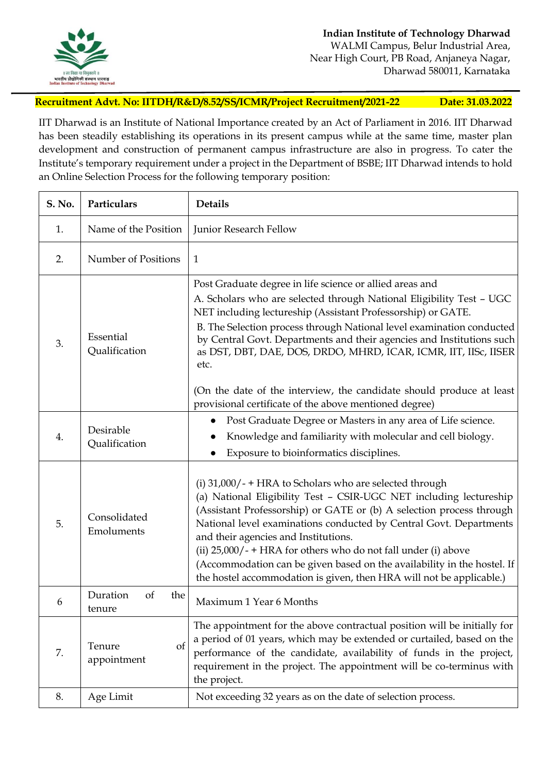

**Recruitment Advt. No: IITDH/R&D/8.52/SS/ICMR/Project Recruitment/2021-22 Date: 31.03.2022**

IIT Dharwad is an Institute of National Importance created by an Act of Parliament in 2016. IIT Dharwad has been steadily establishing its operations in its present campus while at the same time, master plan development and construction of permanent campus infrastructure are also in progress. To cater the Institute's temporary requirement under a project in the Department of BSBE; IIT Dharwad intends to hold an Online Selection Process for the following temporary position:

| S. No. | Particulars                            | <b>Details</b>                                                                                                                                                                                                                                                                                                                                                                                                                                                                                                                                                  |
|--------|----------------------------------------|-----------------------------------------------------------------------------------------------------------------------------------------------------------------------------------------------------------------------------------------------------------------------------------------------------------------------------------------------------------------------------------------------------------------------------------------------------------------------------------------------------------------------------------------------------------------|
| 1.     | Name of the Position                   | Junior Research Fellow                                                                                                                                                                                                                                                                                                                                                                                                                                                                                                                                          |
| 2.     | Number of Positions                    | 1                                                                                                                                                                                                                                                                                                                                                                                                                                                                                                                                                               |
| 3.     | Essential<br>Qualification             | Post Graduate degree in life science or allied areas and<br>A. Scholars who are selected through National Eligibility Test - UGC<br>NET including lectureship (Assistant Professorship) or GATE.<br>B. The Selection process through National level examination conducted<br>by Central Govt. Departments and their agencies and Institutions such<br>as DST, DBT, DAE, DOS, DRDO, MHRD, ICAR, ICMR, IIT, IISc, IISER<br>etc.<br>(On the date of the interview, the candidate should produce at least<br>provisional certificate of the above mentioned degree) |
| 4.     | Desirable<br>Qualification             | Post Graduate Degree or Masters in any area of Life science.<br>$\bullet$<br>Knowledge and familiarity with molecular and cell biology.<br>Exposure to bioinformatics disciplines.                                                                                                                                                                                                                                                                                                                                                                              |
| 5.     | Consolidated<br>Emoluments             | (i) $31,000/ - + HRA$ to Scholars who are selected through<br>(a) National Eligibility Test - CSIR-UGC NET including lectureship<br>(Assistant Professorship) or GATE or (b) A selection process through<br>National level examinations conducted by Central Govt. Departments<br>and their agencies and Institutions.<br>(ii) $25,000/ - + HRA$ for others who do not fall under (i) above<br>(Accommodation can be given based on the availability in the hostel. If<br>the hostel accommodation is given, then HRA will not be applicable.)                  |
| 6      | Duration<br>of<br>the<br>tenure        | Maximum 1 Year 6 Months                                                                                                                                                                                                                                                                                                                                                                                                                                                                                                                                         |
| 7.     | Tenure<br><sub>of</sub><br>appointment | The appointment for the above contractual position will be initially for<br>a period of 01 years, which may be extended or curtailed, based on the<br>performance of the candidate, availability of funds in the project,<br>requirement in the project. The appointment will be co-terminus with<br>the project.                                                                                                                                                                                                                                               |
| 8.     | Age Limit                              | Not exceeding 32 years as on the date of selection process.                                                                                                                                                                                                                                                                                                                                                                                                                                                                                                     |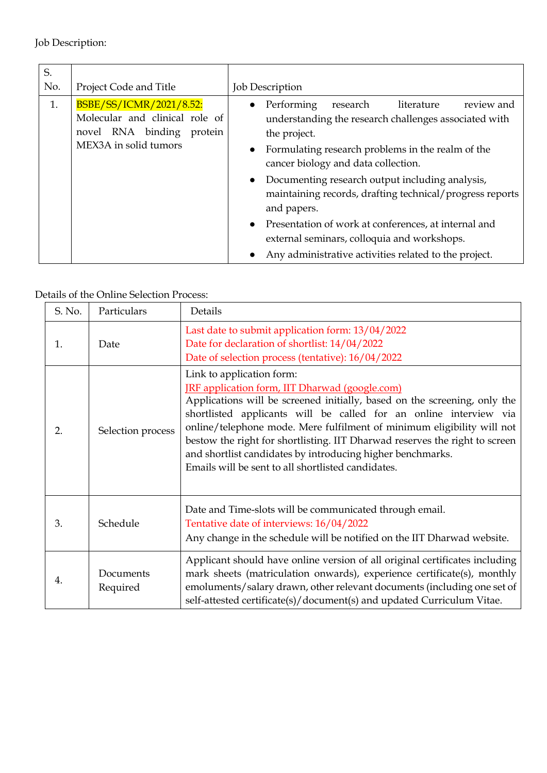Job Description:

| S.<br>No. | Project Code and Title                                                                                          | <b>Job Description</b>                                                                                                                                                                                                                                                                                                                                                                                                                                                                                                             |
|-----------|-----------------------------------------------------------------------------------------------------------------|------------------------------------------------------------------------------------------------------------------------------------------------------------------------------------------------------------------------------------------------------------------------------------------------------------------------------------------------------------------------------------------------------------------------------------------------------------------------------------------------------------------------------------|
| 1.        | BSBE/SS/ICMR/2021/8.52:<br>Molecular and clinical role of<br>novel RNA binding protein<br>MEX3A in solid tumors | Performing<br>literature<br>review and<br>research<br>understanding the research challenges associated with<br>the project.<br>Formulating research problems in the realm of the<br>cancer biology and data collection.<br>Documenting research output including analysis,<br>$\bullet$<br>maintaining records, drafting technical/progress reports<br>and papers.<br>Presentation of work at conferences, at internal and<br>external seminars, colloquia and workshops.<br>Any administrative activities related to the project. |

## Details of the Online Selection Process:

|  | S. No. | Particulars           | Details                                                                                                                                                                                                                                                                                                                                                                                                                                                                                                           |
|--|--------|-----------------------|-------------------------------------------------------------------------------------------------------------------------------------------------------------------------------------------------------------------------------------------------------------------------------------------------------------------------------------------------------------------------------------------------------------------------------------------------------------------------------------------------------------------|
|  | 1.     | Date                  | Last date to submit application form: 13/04/2022<br>Date for declaration of shortlist: 14/04/2022<br>Date of selection process (tentative): 16/04/2022                                                                                                                                                                                                                                                                                                                                                            |
|  | 2.     | Selection process     | Link to application form:<br><b>IRF</b> application form, IIT Dharwad (google.com)<br>Applications will be screened initially, based on the screening, only the<br>shortlisted applicants will be called for an online interview via<br>online/telephone mode. Mere fulfilment of minimum eligibility will not<br>bestow the right for shortlisting. IIT Dharwad reserves the right to screen<br>and shortlist candidates by introducing higher benchmarks.<br>Emails will be sent to all shortlisted candidates. |
|  | 3.     | Schedule              | Date and Time-slots will be communicated through email.<br>Tentative date of interviews: 16/04/2022<br>Any change in the schedule will be notified on the IIT Dharwad website.                                                                                                                                                                                                                                                                                                                                    |
|  | 4.     | Documents<br>Required | Applicant should have online version of all original certificates including<br>mark sheets (matriculation onwards), experience certificate(s), monthly<br>emoluments/salary drawn, other relevant documents (including one set of<br>self-attested certificate(s)/document(s) and updated Curriculum Vitae.                                                                                                                                                                                                       |